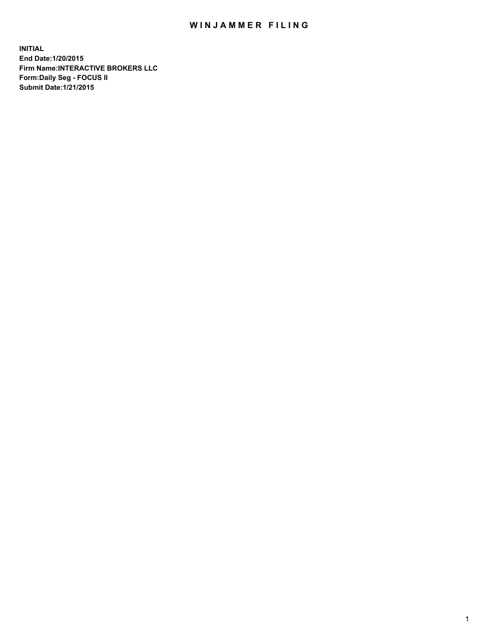## WIN JAMMER FILING

**INITIAL End Date:1/20/2015 Firm Name:INTERACTIVE BROKERS LLC Form:Daily Seg - FOCUS II Submit Date:1/21/2015**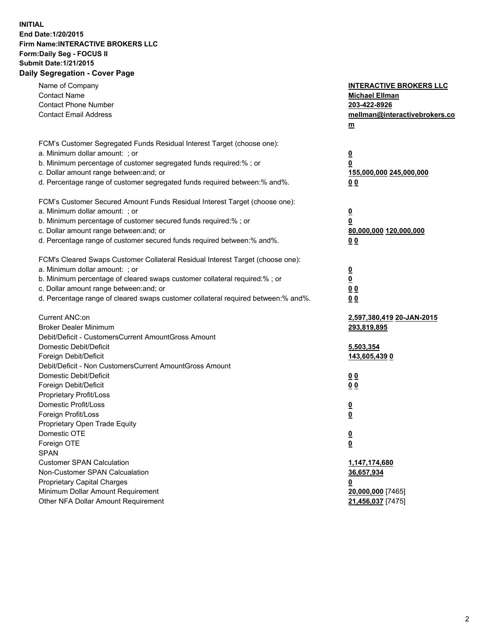## **INITIAL End Date:1/20/2015 Firm Name:INTERACTIVE BROKERS LLC Form:Daily Seg - FOCUS II Submit Date:1/21/2015 Daily Segregation - Cover Page**

| Name of Company<br><b>Contact Name</b><br><b>Contact Phone Number</b><br><b>Contact Email Address</b>                                                                                                                                                                                                                          | <b>INTERACTIVE BROKERS LLC</b><br><b>Michael Ellman</b><br>203-422-8926<br>mellman@interactivebrokers.co<br>m |
|--------------------------------------------------------------------------------------------------------------------------------------------------------------------------------------------------------------------------------------------------------------------------------------------------------------------------------|---------------------------------------------------------------------------------------------------------------|
| FCM's Customer Segregated Funds Residual Interest Target (choose one):<br>a. Minimum dollar amount: ; or<br>b. Minimum percentage of customer segregated funds required:% ; or<br>c. Dollar amount range between: and; or<br>d. Percentage range of customer segregated funds required between:% and%.                         | <u>0</u><br>0<br>155,000,000 245,000,000<br>00                                                                |
| FCM's Customer Secured Amount Funds Residual Interest Target (choose one):<br>a. Minimum dollar amount: ; or<br>b. Minimum percentage of customer secured funds required:% ; or<br>c. Dollar amount range between: and; or<br>d. Percentage range of customer secured funds required between:% and%.                           | $\overline{\mathbf{0}}$<br>0<br>80,000,000 120,000,000<br>0 <sub>0</sub>                                      |
| FCM's Cleared Swaps Customer Collateral Residual Interest Target (choose one):<br>a. Minimum dollar amount: ; or<br>b. Minimum percentage of cleared swaps customer collateral required:% ; or<br>c. Dollar amount range between: and; or<br>d. Percentage range of cleared swaps customer collateral required between:% and%. | $\overline{\mathbf{0}}$<br><u>0</u><br>0 <sub>0</sub><br>0 <sub>0</sub>                                       |
| Current ANC:on<br><b>Broker Dealer Minimum</b><br>Debit/Deficit - CustomersCurrent AmountGross Amount<br>Domestic Debit/Deficit<br>Foreign Debit/Deficit                                                                                                                                                                       | 2,597,380,419 20-JAN-2015<br>293,819,895<br>5,503,354<br>143,605,439 0                                        |
| Debit/Deficit - Non CustomersCurrent AmountGross Amount<br>Domestic Debit/Deficit<br>Foreign Debit/Deficit<br>Proprietary Profit/Loss<br>Domestic Profit/Loss<br>Foreign Profit/Loss                                                                                                                                           | 0 <sub>0</sub><br>0 <sub>0</sub><br>$\overline{\mathbf{0}}$<br>$\overline{\mathbf{0}}$                        |
| Proprietary Open Trade Equity<br>Domestic OTE<br>Foreign OTE<br><b>SPAN</b><br><b>Customer SPAN Calculation</b>                                                                                                                                                                                                                | $\overline{\mathbf{0}}$<br><u>0</u><br>1,147,174,680                                                          |
| Non-Customer SPAN Calcualation<br><b>Proprietary Capital Charges</b><br>Minimum Dollar Amount Requirement<br>Other NFA Dollar Amount Requirement                                                                                                                                                                               | 36,657,934<br><u>0</u><br>20,000,000 [7465]<br>21,456,037 [7475]                                              |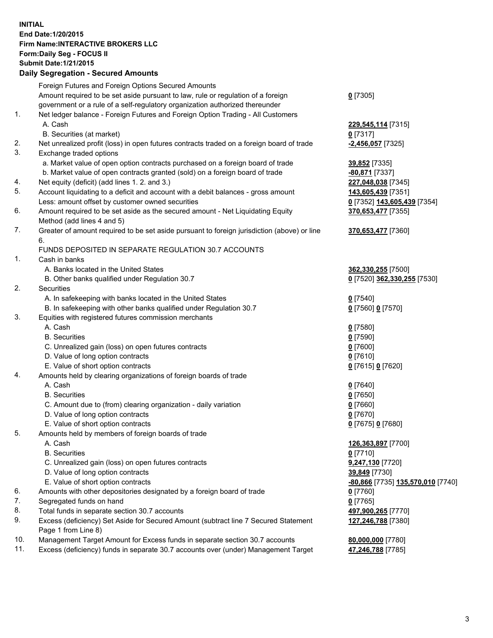## **INITIAL End Date:1/20/2015 Firm Name:INTERACTIVE BROKERS LLC Form:Daily Seg - FOCUS II Submit Date:1/21/2015 Daily Segregation - Secured Amounts**

|     | Foreign Futures and Foreign Options Secured Amounts                                         |                                   |
|-----|---------------------------------------------------------------------------------------------|-----------------------------------|
|     | Amount required to be set aside pursuant to law, rule or regulation of a foreign            | $0$ [7305]                        |
|     | government or a rule of a self-regulatory organization authorized thereunder                |                                   |
| 1.  | Net ledger balance - Foreign Futures and Foreign Option Trading - All Customers             |                                   |
|     | A. Cash                                                                                     | 229,545,114 [7315]                |
|     | B. Securities (at market)                                                                   | $0$ [7317]                        |
| 2.  | Net unrealized profit (loss) in open futures contracts traded on a foreign board of trade   | -2,456,057 [7325]                 |
| 3.  | Exchange traded options                                                                     |                                   |
|     | a. Market value of open option contracts purchased on a foreign board of trade              | 39,852 [7335]                     |
|     | b. Market value of open contracts granted (sold) on a foreign board of trade                | -80,871 [7337]                    |
| 4.  | Net equity (deficit) (add lines 1.2. and 3.)                                                | 227,048,038 [7345]                |
| 5.  | Account liquidating to a deficit and account with a debit balances - gross amount           | 143,605,439 [7351]                |
|     | Less: amount offset by customer owned securities                                            | 0 [7352] 143,605,439 [7354]       |
| 6.  | Amount required to be set aside as the secured amount - Net Liquidating Equity              | 370,653,477 [7355]                |
|     | Method (add lines 4 and 5)                                                                  |                                   |
| 7.  | Greater of amount required to be set aside pursuant to foreign jurisdiction (above) or line | 370,653,477 [7360]                |
|     | 6.                                                                                          |                                   |
|     | FUNDS DEPOSITED IN SEPARATE REGULATION 30.7 ACCOUNTS                                        |                                   |
| 1.  | Cash in banks                                                                               |                                   |
|     | A. Banks located in the United States                                                       | 362,330,255 [7500]                |
|     | B. Other banks qualified under Regulation 30.7                                              | 0 [7520] 362,330,255 [7530]       |
| 2.  | Securities                                                                                  |                                   |
|     | A. In safekeeping with banks located in the United States                                   | $Q$ [7540]                        |
|     | B. In safekeeping with other banks qualified under Regulation 30.7                          | 0 [7560] 0 [7570]                 |
| 3.  | Equities with registered futures commission merchants                                       |                                   |
|     | A. Cash                                                                                     | $0$ [7580]                        |
|     | <b>B.</b> Securities                                                                        | $0$ [7590]                        |
|     | C. Unrealized gain (loss) on open futures contracts                                         | $0$ [7600]                        |
|     | D. Value of long option contracts                                                           | $0$ [7610]                        |
|     | E. Value of short option contracts                                                          | 0 [7615] 0 [7620]                 |
| 4.  | Amounts held by clearing organizations of foreign boards of trade                           |                                   |
|     | A. Cash                                                                                     | $0$ [7640]                        |
|     | <b>B.</b> Securities                                                                        | $0$ [7650]                        |
|     | C. Amount due to (from) clearing organization - daily variation                             | $0$ [7660]                        |
|     | D. Value of long option contracts                                                           | $0$ [7670]                        |
|     | E. Value of short option contracts                                                          | 0 [7675] 0 [7680]                 |
| 5.  | Amounts held by members of foreign boards of trade                                          |                                   |
|     | A. Cash                                                                                     | 126,363,897 [7700]                |
|     | <b>B.</b> Securities                                                                        | $0$ [7710]                        |
|     | C. Unrealized gain (loss) on open futures contracts                                         | 9,247,130 [7720]                  |
|     | D. Value of long option contracts                                                           | 39,849 [7730]                     |
|     | E. Value of short option contracts                                                          | -80,866 [7735] 135,570,010 [7740] |
| 6.  | Amounts with other depositories designated by a foreign board of trade                      | $0$ [7760]                        |
| 7.  | Segregated funds on hand                                                                    | $0$ [7765]                        |
| 8.  | Total funds in separate section 30.7 accounts                                               |                                   |
| 9.  | Excess (deficiency) Set Aside for Secured Amount (subtract line 7 Secured Statement         | 497,900,265 [7770]                |
|     |                                                                                             | 127,246,788 [7380]                |
| 10. | Page 1 from Line 8)                                                                         |                                   |
| 11. | Management Target Amount for Excess funds in separate section 30.7 accounts                 | 80,000,000 [7780]                 |
|     | Excess (deficiency) funds in separate 30.7 accounts over (under) Management Target          | 47,246,788 [7785]                 |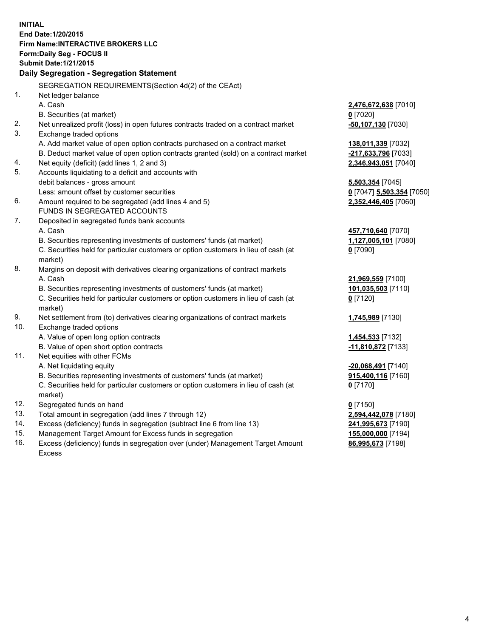**INITIAL End Date:1/20/2015 Firm Name:INTERACTIVE BROKERS LLC Form:Daily Seg - FOCUS II Submit Date:1/21/2015 Daily Segregation - Segregation Statement** SEGREGATION REQUIREMENTS(Section 4d(2) of the CEAct) 1. Net ledger balance A. Cash **2,476,672,638** [7010] B. Securities (at market) **0** [7020] 2. Net unrealized profit (loss) in open futures contracts traded on a contract market **-50,107,130** [7030] 3. Exchange traded options A. Add market value of open option contracts purchased on a contract market **138,011,339** [7032] B. Deduct market value of open option contracts granted (sold) on a contract market **-217,633,796** [7033] 4. Net equity (deficit) (add lines 1, 2 and 3) **2,346,943,051** [7040] 5. Accounts liquidating to a deficit and accounts with debit balances - gross amount **5,503,354** [7045] Less: amount offset by customer securities **0** [7047] **5,503,354** [7050] 6. Amount required to be segregated (add lines 4 and 5) **2,352,446,405** [7060] FUNDS IN SEGREGATED ACCOUNTS 7. Deposited in segregated funds bank accounts A. Cash **457,710,640** [7070] B. Securities representing investments of customers' funds (at market) **1,127,005,101** [7080] C. Securities held for particular customers or option customers in lieu of cash (at market) **0** [7090] 8. Margins on deposit with derivatives clearing organizations of contract markets A. Cash **21,969,559** [7100] B. Securities representing investments of customers' funds (at market) **101,035,503** [7110] C. Securities held for particular customers or option customers in lieu of cash (at market) **0** [7120] 9. Net settlement from (to) derivatives clearing organizations of contract markets **1,745,989** [7130] 10. Exchange traded options A. Value of open long option contracts **1,454,533** [7132] B. Value of open short option contracts **-11,810,872** [7133] 11. Net equities with other FCMs A. Net liquidating equity **-20,068,491** [7140] B. Securities representing investments of customers' funds (at market) **915,400,116** [7160] C. Securities held for particular customers or option customers in lieu of cash (at market) **0** [7170] 12. Segregated funds on hand **0** [7150] 13. Total amount in segregation (add lines 7 through 12) **2,594,442,078** [7180] 14. Excess (deficiency) funds in segregation (subtract line 6 from line 13) **241,995,673** [7190] 15. Management Target Amount for Excess funds in segregation **155,000,000** [7194]

16. Excess (deficiency) funds in segregation over (under) Management Target Amount Excess

**86,995,673** [7198]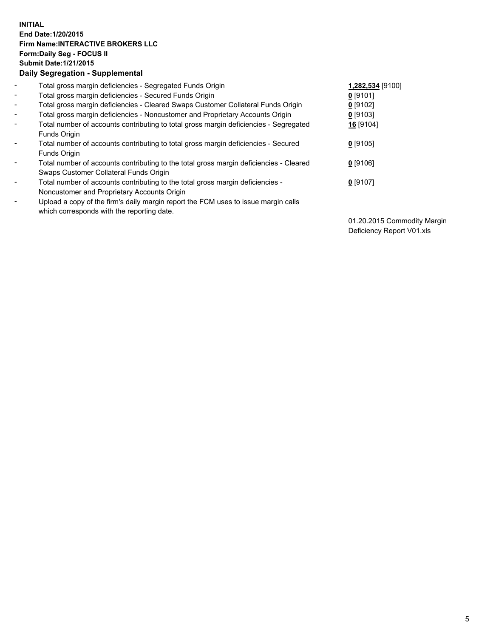## **INITIAL End Date:1/20/2015 Firm Name:INTERACTIVE BROKERS LLC Form:Daily Seg - FOCUS II Submit Date:1/21/2015 Daily Segregation - Supplemental**

| $\overline{\phantom{0}}$ | Total gross margin deficiencies - Segregated Funds Origin                              | 1,282,534 [9100] |
|--------------------------|----------------------------------------------------------------------------------------|------------------|
| $\sim$                   | Total gross margin deficiencies - Secured Funds Origin                                 | $0$ [9101]       |
| $\blacksquare$           | Total gross margin deficiencies - Cleared Swaps Customer Collateral Funds Origin       | $0$ [9102]       |
| $\blacksquare$           | Total gross margin deficiencies - Noncustomer and Proprietary Accounts Origin          | $0$ [9103]       |
| Ξ.                       | Total number of accounts contributing to total gross margin deficiencies - Segregated  | 16 [9104]        |
|                          | Funds Origin                                                                           |                  |
| $\blacksquare$           | Total number of accounts contributing to total gross margin deficiencies - Secured     | $0$ [9105]       |
|                          | Funds Origin                                                                           |                  |
| ۰                        | Total number of accounts contributing to the total gross margin deficiencies - Cleared | $0$ [9106]       |
|                          | Swaps Customer Collateral Funds Origin                                                 |                  |
| -                        | Total number of accounts contributing to the total gross margin deficiencies -         | $0$ [9107]       |
|                          | Noncustomer and Proprietary Accounts Origin                                            |                  |
| ۰                        | Upload a copy of the firm's daily margin report the FCM uses to issue margin calls     |                  |
|                          | which corresponds with the reporting date.                                             |                  |

01.20.2015 Commodity Margin Deficiency Report V01.xls